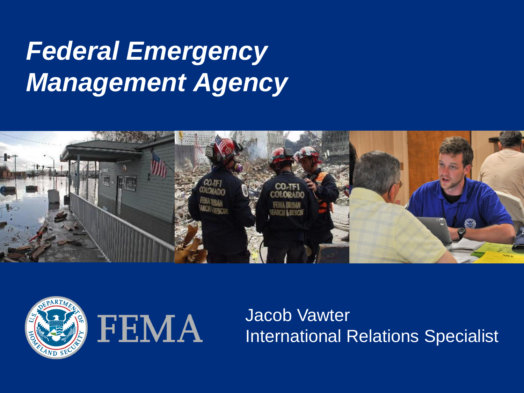# *Federal Emergency Management Agency*





Jacob Vawter International Relations Specialist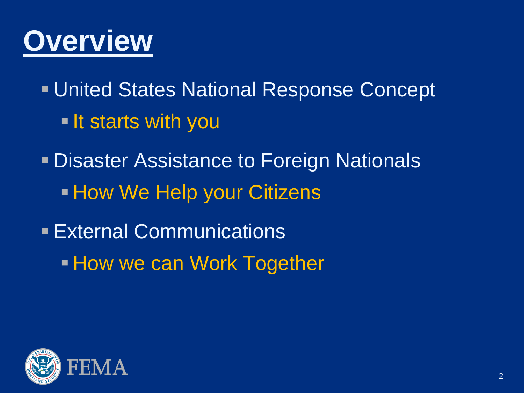

**United States National Response Concept If starts with you** 

**- Disaster Assistance to Foreign Nationals - How We Help your Citizens** 

**External Communications How we can Work Together** 

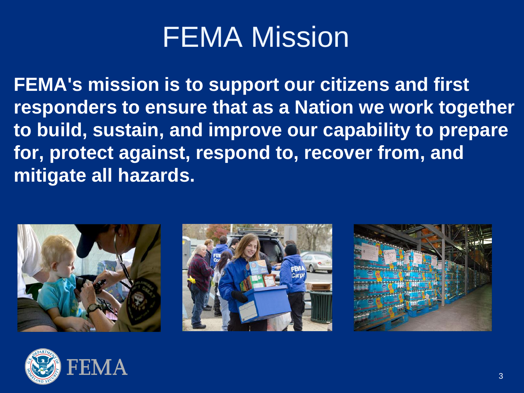# FEMA Mission

**FEMA's mission is to support our citizens and first responders to ensure that as a Nation we work together to build, sustain, and improve our capability to prepare for, protect against, respond to, recover from, and mitigate all hazards.**







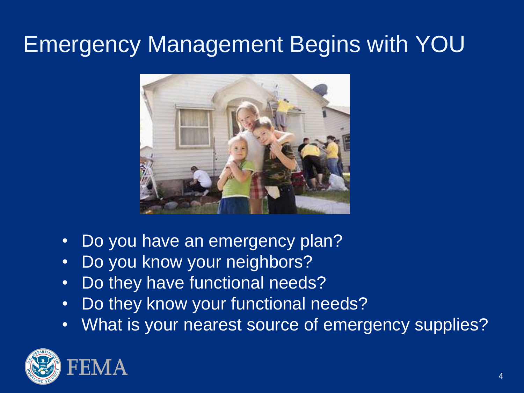## Emergency Management Begins with YOU



- Do you have an emergency plan?
- Do you know your neighbors?
- Do they have functional needs?
- Do they know your functional needs?
- What is your nearest source of emergency supplies?

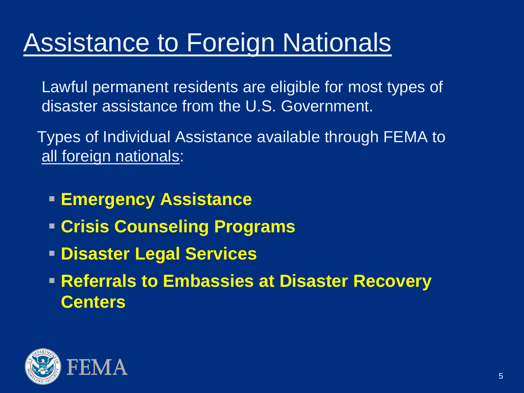# Assistance to Foreign Nationals

- Lawful permanent residents are eligible for most types of disaster assistance from the U.S. Government.
- Types of Individual Assistance available through FEMA to all foreign nationals:
	- **Emergency Assistance**
	- **Crisis Counseling Programs**
	- **Disaster Legal Services**
	- **Referrals to Embassies at Disaster Recovery Centers**

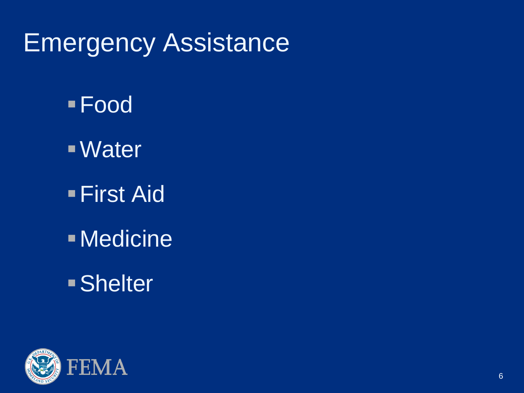## Emergency Assistance

- Food
- Water
- **First Aid**
- Medicine
- Shelter

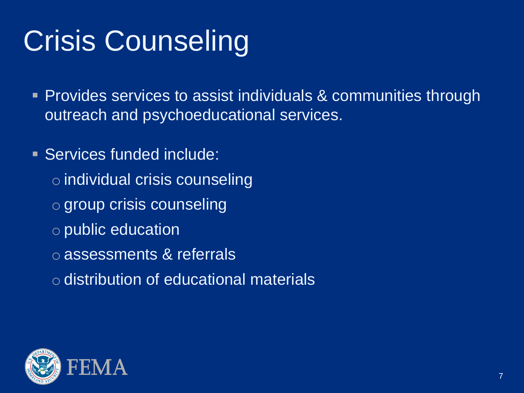# Crisis Counseling

**Provides services to assist individuals & communities through** outreach and psychoeducational services.

- Services funded include:
	- o individual crisis counseling
	- o group crisis counseling
	- o public education
	- o assessments & referrals
	- o distribution of educational materials

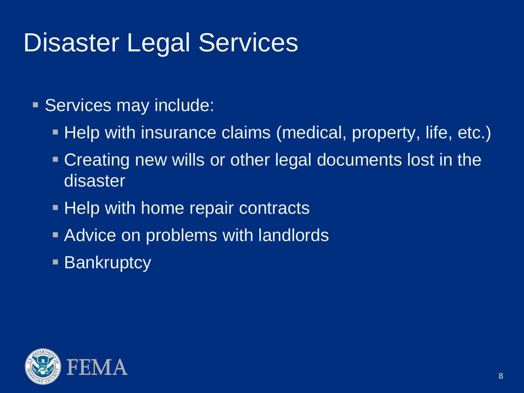# Disaster Legal Services

#### Services may include:

- Help with insurance claims (medical, property, life, etc.)
- Creating new wills or other legal documents lost in the disaster
- **Help with home repair contracts**
- **Advice on problems with landlords**
- **Bankruptcy**

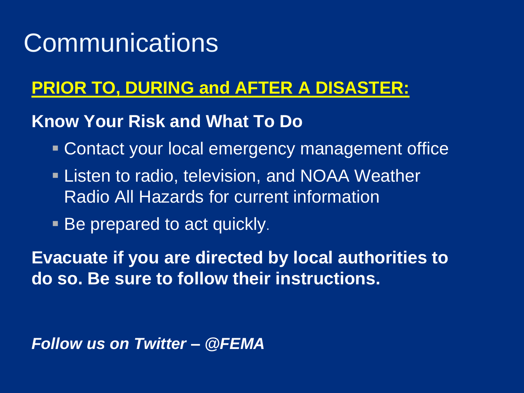## **Communications**

#### **PRIOR TO, DURING and AFTER A DISASTER:**

#### **Know Your Risk and What To Do**

- Contact your local emergency management office
- **Listen to radio, television, and NOAA Weather** Radio All Hazards for current information
- Be prepared to act quickly.

**Evacuate if you are directed by local authorities to do so. Be sure to follow their instructions.**

*Follow us on Twitter – @FEMA*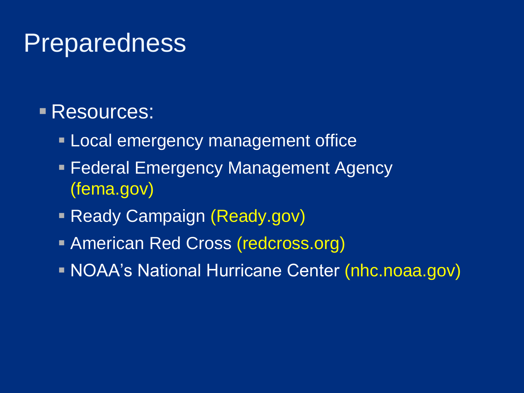### **Preparedness**

#### Resources:

- **Local emergency management office**
- **Federal Emergency Management Agency** (fema.gov)
- **Ready Campaign (Ready.gov)**
- **American Red Cross (redcross.org)**
- NOAA's National Hurricane Center (nhc.noaa.gov)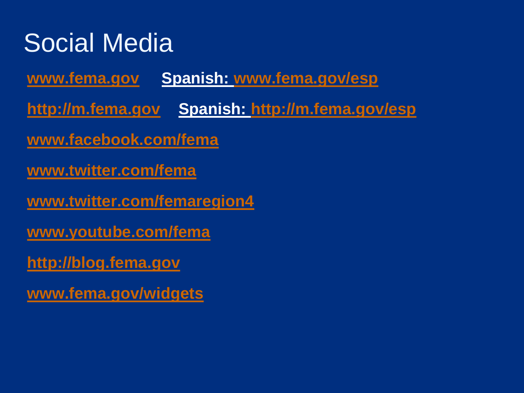# Social Media

**[www.fema.gov](http://www.fema.gov/) Spanish: [www.fema.gov/esp](http://www.fema.gov/esp)**

**[http://m.fema.gov](http://m.fema.gov/) Spanish: <http://m.fema.gov/esp>**

**[www.facebook.com/fema](http://www.facebook.com/fema)**

**[www.twitter.com/fema](http://www.twitter.com/fema)**

**[www.twitter.com/femaregion4](http://www.twitter.com/femaregion4)**

**[www.youtube.com/fema](http://www.youtube.com/fema)**

**[http://blog.fema.gov](http://blog.fema.gov/)**

**[www.fema.gov/widgets](http://www.fema.gov/widgets)**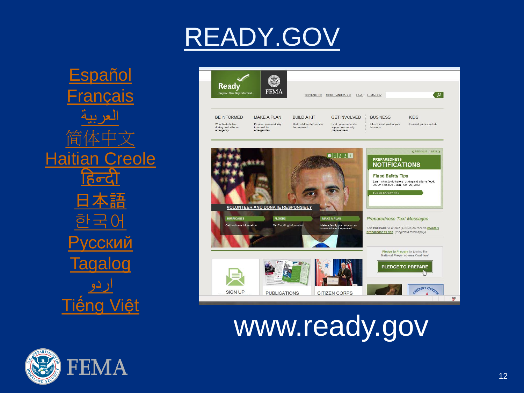

# READY.GOV



# www.ready.gov

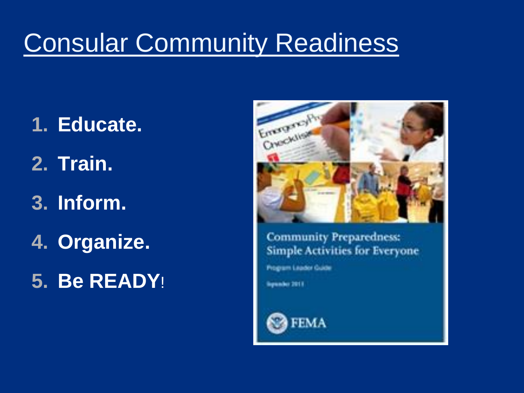# Consular Community Readiness

- **1. Educate.**
- **2. Train.**
- **3. Inform.**
- **4. Organize.**
- **5. Be READY**!



**Community Preparedness: Simple Activities for Everyone** 

Program Leader Guide

**Spender 2011**